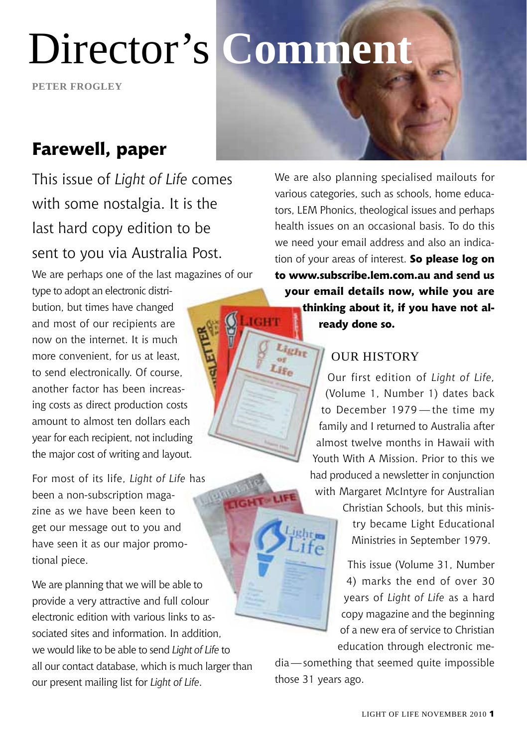Director's **Comment**

**Peter frogley**

### **Farewell, paper**

This issue of *Light of Life* comes with some nostalgia. It is the last hard copy edition to be sent to you via Australia Post.

We are perhaps one of the last magazines of our

type to adopt an electronic distribution, but times have changed and most of our recipients are now on the internet. It is much more convenient, for us at least to send electronically. Of course, another factor has been increasing costs as direct production costs amount to almost ten dollars each year for each recipient, not including the major cost of writing and layout.

For most of its life, *Light of Life* has been a non-subscription magazine as we have been keen to get our message out to you and have seen it as our major promotional piece.

We are planning that we will be able to provide a very attractive and full colour electronic edition with various links to associated sites and information. In addition, we would like to be able to send *Light of Life* to all our contact database, which is much larger than our present mailing list for *Light of Life*.

We are also planning specialised mailouts for various categories, such as schools, home educators, LEM Phonics, theological issues and perhaps health issues on an occasional basis. To do this we need your email address and also an indication of your areas of interest. **So please log on to www.subscribe.lem.com.au and send us your email details now, while you are thinking about it, if you have not al-**IGHT **ready done so.**

#### OUR HISTORY

Light Lis.

GHT-LIFE

Our first edition of *Light of Life,* (Volume 1, Number 1) dates back to December 1979 — the time my family and I returned to Australia after almost twelve months in Hawaii with Youth With A Mission. Prior to this we had produced a newsletter in conjunction with Margaret McIntyre for Australian

> Christian Schools, but this ministry became Light Educational Ministries in September 1979.

This issue (Volume 31, Number 4) marks the end of over 30 years of *Light of Life* as a hard copy magazine and the beginning of a new era of service to Christian education through electronic me-

dia—something that seemed quite impossible those 31 years ago.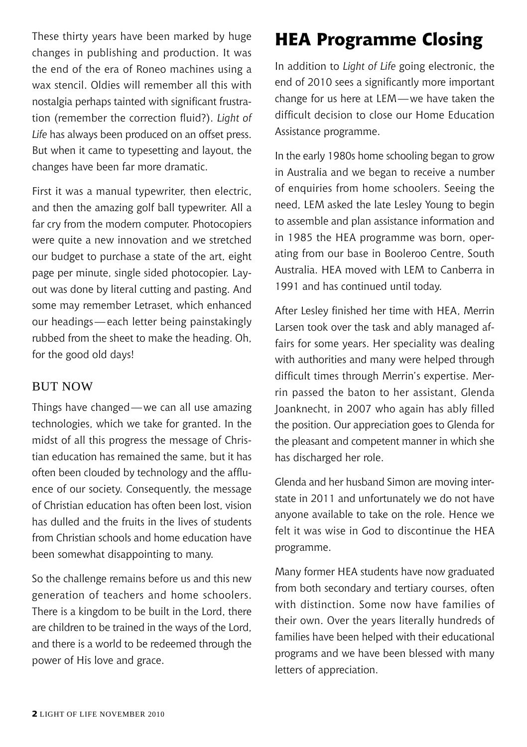These thirty years have been marked by huge changes in publishing and production. It was the end of the era of Roneo machines using a wax stencil. Oldies will remember all this with nostalgia perhaps tainted with significant frustration (remember the correction fluid?). *Light of Life* has always been produced on an offset press. But when it came to typesetting and layout, the changes have been far more dramatic.

First it was a manual typewriter, then electric and then the amazing golf ball typewriter. All a far cry from the modern computer. Photocopiers were quite a new innovation and we stretched our budget to purchase a state of the art, eight page per minute, single sided photocopier. Layout was done by literal cutting and pasting. And some may remember Letraset, which enhanced our headings—each letter being painstakingly rubbed from the sheet to make the heading. Oh, for the good old days!

#### **BUT NOW**

Things have changed—we can all use amazing technologies, which we take for granted. In the midst of all this progress the message of Christian education has remained the same, but it has often been clouded by technology and the affluence of our society. Consequently, the message of Christian education has often been lost, vision has dulled and the fruits in the lives of students from Christian schools and home education have been somewhat disappointing to many.

So the challenge remains before us and this new generation of teachers and home schoolers. There is a kingdom to be built in the Lord, there are children to be trained in the ways of the Lord, and there is a world to be redeemed through the power of His love and grace.

## **HEA Programme Closing**

In addition to *Light of Life* going electronic, the end of 2010 sees a significantly more important change for us here at LEM—we have taken the difficult decision to close our Home Education Assistance programme.

In the early 1980s home schooling began to grow in Australia and we began to receive a number of enquiries from home schoolers. Seeing the need, LEM asked the late Lesley Young to begin to assemble and plan assistance information and in 1985 the HEA programme was born, operating from our base in Booleroo Centre, South Australia. HEA moved with LEM to Canberra in 1991 and has continued until today.

After Lesley finished her time with HEA, Merrin Larsen took over the task and ably managed affairs for some years. Her speciality was dealing with authorities and many were helped through difficult times through Merrin's expertise. Merrin passed the baton to her assistant, Glenda Joanknecht, in 2007 who again has ably filled the position. Our appreciation goes to Glenda for the pleasant and competent manner in which she has discharged her role.

Glenda and her husband Simon are moving interstate in 2011 and unfortunately we do not have anyone available to take on the role. Hence we felt it was wise in God to discontinue the HEA programme.

Many former HEA students have now graduated from both secondary and tertiary courses, often with distinction. Some now have families of their own. Over the years literally hundreds of families have been helped with their educational programs and we have been blessed with many letters of appreciation.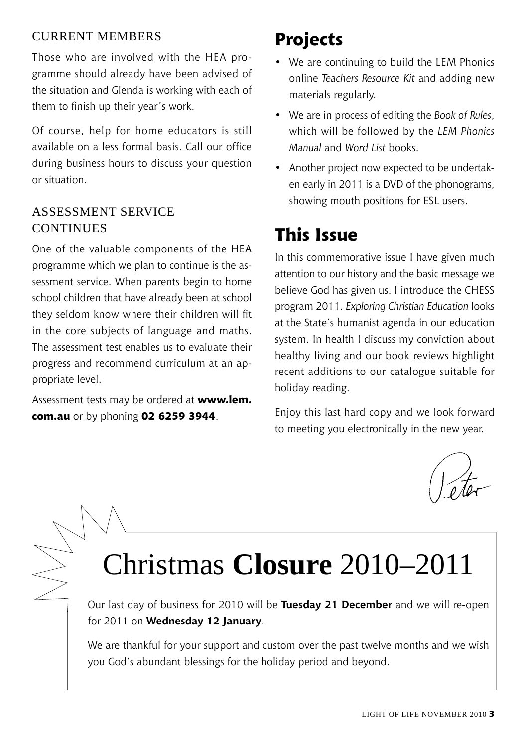#### current members

Those who are involved with the HEA programme should already have been advised of the situation and Glenda is working with each of them to finish up their year's work.

Of course, help for home educators is still available on a less formal basis. Call our office during business hours to discuss your question or situation.

#### Assessment Service CONTINUES

One of the valuable components of the HEA programme which we plan to continue is the assessment service. When parents begin to home school children that have already been at school they seldom know where their children will fit in the core subjects of language and maths. The assessment test enables us to evaluate their progress and recommend curriculum at an appropriate level.

Assessment tests may be ordered at **www.lem. com.au** or by phoning **02 6259 3944**.

## **Projects**

- We are continuing to build the LEM Phonics online *Teachers Resource Kit* and adding new materials regularly.
- We are in process of editing the *Book of Rules*, which will be followed by the *LEM Phonics Manual* and *Word List* books.
- Another project now expected to be undertaken early in 2011 is a DVD of the phonograms, showing mouth positions for ESL users.

## **This Issue**

In this commemorative issue I have given much attention to our history and the basic message we believe God has given us. I introduce the CHESS program 2011. *Exploring Christian Education* looks at the State's humanist agenda in our education system. In health I discuss my conviction about healthy living and our book reviews highlight recent additions to our catalogue suitable for holiday reading.

Enjoy this last hard copy and we look forward to meeting you electronically in the new year.

## Christmas **Closure** 2010–2011

Our last day of business for 2010 will be **Tuesday 21 December** and we will re-open for 2011 on **Wednesday 12 January**.

We are thankful for your support and custom over the past twelve months and we wish you God's abundant blessings for the holiday period and beyond.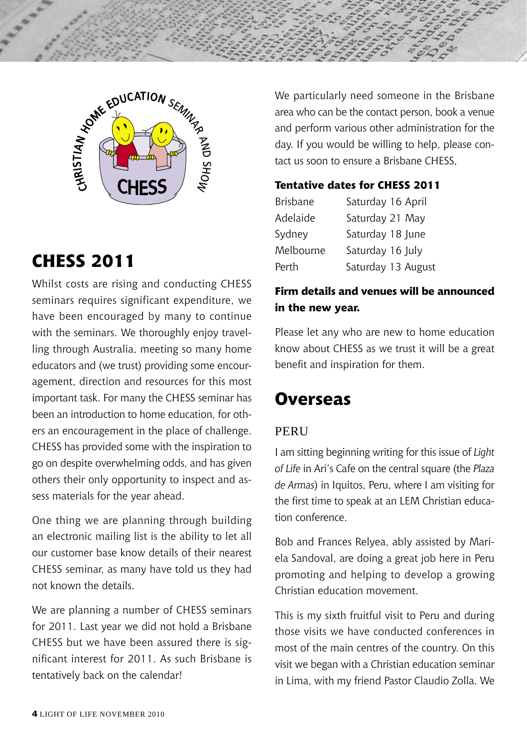



## **CHESS 2011**

Whilst costs are rising and conducting CHESS seminars requires significant expenditure, we have been encouraged by many to continue with the seminars. We thoroughly enjoy travelling through Australia, meeting so many home educators and (we trust) providing some encouragement, direction and resources for this most important task. For many the CHESS seminar has been an introduction to home education, for others an encouragement in the place of challenge. CHESS has provided some with the inspiration to go on despite overwhelming odds, and has given others their only opportunity to inspect and assess materials for the year ahead.

One thing we are planning through building an electronic mailing list is the ability to let all our customer base know details of their nearest CHESS seminar, as many have told us they had not known the details.

We are planning a number of CHESS seminars for 2011. Last year we did not hold a Brisbane CHESS but we have been assured there is significant interest for 2011. As such Brisbane is tentatively back on the calendar!

We particularly need someone in the Brisbane area who can be the contact person, book a venue and perform various other administration for the day. If you would be willing to help, please contact us soon to ensure a Brisbane CHESS,

#### **Tentative dates for CHESS 2011**

| <b>Brisbane</b> | Saturday 16 April  |
|-----------------|--------------------|
| Adelaide        | Saturday 21 May    |
| Sydney          | Saturday 18 June   |
| Melbourne       | Saturday 16 July   |
| Perth           | Saturday 13 August |

#### **Firm details and venues will be announced in the new year.**

Please let any who are new to home education know about CHESS as we trust it will be a great benefit and inspiration for them.

### **Overseas**

#### **PERII**

I am sitting beginning writing for this issue of *Light of Life* in Ari's Cafe on the central square (the *Plaza de Armas*) in Iquitos, Peru, where I am visiting for the first time to speak at an LEM Christian education conference.

Bob and Frances Relyea, ably assisted by Mariela Sandoval, are doing a great job here in Peru promoting and helping to develop a growing Christian education movement.

This is my sixth fruitful visit to Peru and during those visits we have conducted conferences in most of the main centres of the country. On this visit we began with a Christian education seminar in Lima, with my friend Pastor Claudio Zolla. We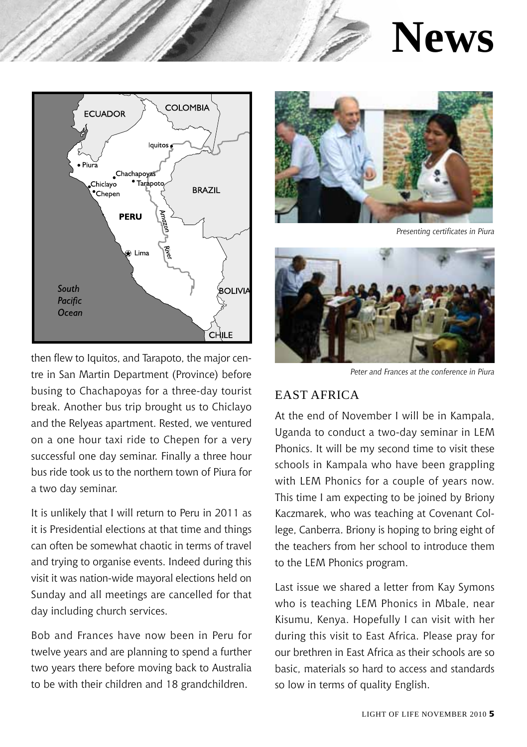



then flew to Iquitos, and Tarapoto, the major centre in San Martin Department (Province) before busing to Chachapoyas for a three-day tourist break. Another bus trip brought us to Chiclayo and the Relyeas apartment. Rested, we ventured on a one hour taxi ride to Chepen for a very successful one day seminar. Finally a three hour bus ride took us to the northern town of Piura for a two day seminar.

It is unlikely that I will return to Peru in 2011 as it is Presidential elections at that time and things can often be somewhat chaotic in terms of travel and trying to organise events. Indeed during this visit it was nation-wide mayoral elections held on Sunday and all meetings are cancelled for that day including church services.

Bob and Frances have now been in Peru for twelve years and are planning to spend a further two years there before moving back to Australia to be with their children and 18 grandchildren.



*Presenting certificates in Piura*



*Peter and Frances at the conference in Piura*

#### East Africa

At the end of November I will be in Kampala, Uganda to conduct a two-day seminar in LEM Phonics. It will be my second time to visit these schools in Kampala who have been grappling with LEM Phonics for a couple of years now. This time I am expecting to be joined by Briony Kaczmarek, who was teaching at Covenant College, Canberra. Briony is hoping to bring eight of the teachers from her school to introduce them to the LEM Phonics program.

Last issue we shared a letter from Kay Symons who is teaching LEM Phonics in Mbale, near Kisumu, Kenya. Hopefully I can visit with her during this visit to East Africa. Please pray for our brethren in East Africa as their schools are so basic, materials so hard to access and standards so low in terms of quality English.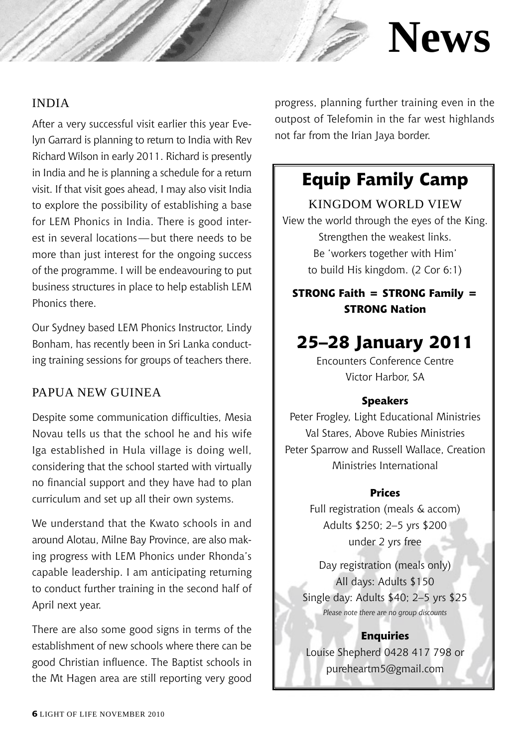## **News**

#### **INDIA**

After a very successful visit earlier this year Evelyn Garrard is planning to return to India with Rev Richard Wilson in early 2011. Richard is presently in India and he is planning a schedule for a return visit. If that visit goes ahead, I may also visit India to explore the possibility of establishing a base for LEM Phonics in India. There is good interest in several locations—but there needs to be more than just interest for the ongoing success of the programme. I will be endeavouring to put business structures in place to help establish LEM Phonics there.

Our Sydney based LEM Phonics Instructor, Lindy Bonham, has recently been in Sri Lanka conducting training sessions for groups of teachers there.

#### PAPUA NEW GUINEA

Despite some communication difficulties, Mesia Novau tells us that the school he and his wife Iga established in Hula village is doing well, considering that the school started with virtually no financial support and they have had to plan curriculum and set up all their own systems.

We understand that the Kwato schools in and around Alotau, Milne Bay Province, are also making progress with LEM Phonics under Rhonda's capable leadership. I am anticipating returning to conduct further training in the second half of April next year.

There are also some good signs in terms of the establishment of new schools where there can be good Christian influence. The Baptist schools in the Mt Hagen area are still reporting very good progress, planning further training even in the outpost of Telefomin in the far west highlands not far from the Irian Jaya border.

### **Equip Family Camp**

Kingdom World View View the world through the eyes of the King. Strengthen the weakest links. Be 'workers together with Him' to build His kingdom. (2 Cor 6:1)

**STRONG Faith = STRONG Family = STRONG Nation**

### **25–28 January 2011**

Encounters Conference Centre Victor Harbor, SA

#### **Speakers**

Peter Frogley, Light Educational Ministries Val Stares, Above Rubies Ministries Peter Sparrow and Russell Wallace, Creation Ministries International

#### **Prices**

Full registration (meals & accom) Adults \$250; 2–5 yrs \$200 under 2 yrs free

Day registration (meals only) All days: Adults \$150 Single day: Adults \$40; 2–5 yrs \$25 *Please note there are no group discounts*

#### **Enquiries**

Louise Shepherd 0428 417 798 or pureheartm5@gmail.com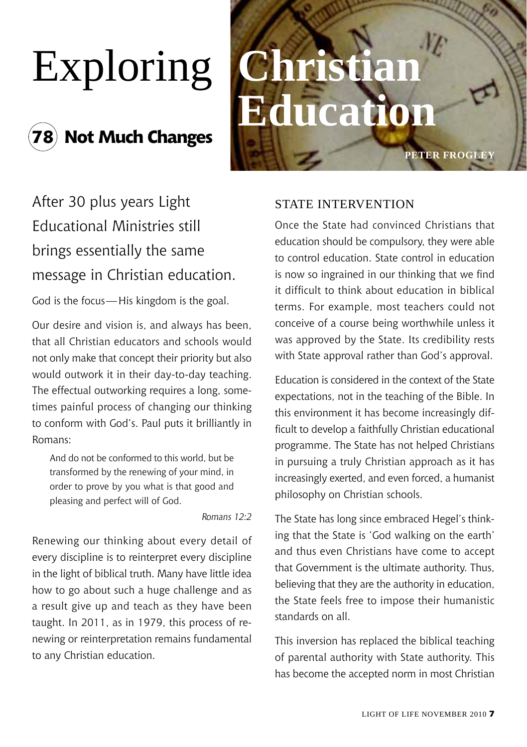## **78 Not Much Changes**



## After 30 plus years Light Educational Ministries still brings essentially the same message in Christian education.

God is the focus—His kingdom is the goal.

Our desire and vision is, and always has been, that all Christian educators and schools would not only make that concept their priority but also would outwork it in their day-to-day teaching. The effectual outworking requires a long, sometimes painful process of changing our thinking to conform with God's. Paul puts it brilliantly in Romans:

And do not be conformed to this world, but be transformed by the renewing of your mind, in order to prove by you what is that good and pleasing and perfect will of God.

*Romans 12:2*

Renewing our thinking about every detail of every discipline is to reinterpret every discipline in the light of biblical truth. Many have little idea how to go about such a huge challenge and as a result give up and teach as they have been taught. In 2011, as in 1979, this process of renewing or reinterpretation remains fundamental to any Christian education.

#### STATE INTERVENTION

Once the State had convinced Christians that education should be compulsory, they were able to control education. State control in education is now so ingrained in our thinking that we find it difficult to think about education in biblical terms. For example, most teachers could not conceive of a course being worthwhile unless it was approved by the State. Its credibility rests with State approval rather than God's approval.

Education is considered in the context of the State expectations, not in the teaching of the Bible. In this environment it has become increasingly difficult to develop a faithfully Christian educational programme. The State has not helped Christians in pursuing a truly Christian approach as it has increasingly exerted, and even forced, a humanist philosophy on Christian schools.

The State has long since embraced Hegel's thinking that the State is 'God walking on the earth' and thus even Christians have come to accept that Government is the ultimate authority. Thus, believing that they are the authority in education, the State feels free to impose their humanistic standards on all.

This inversion has replaced the biblical teaching of parental authority with State authority. This has become the accepted norm in most Christian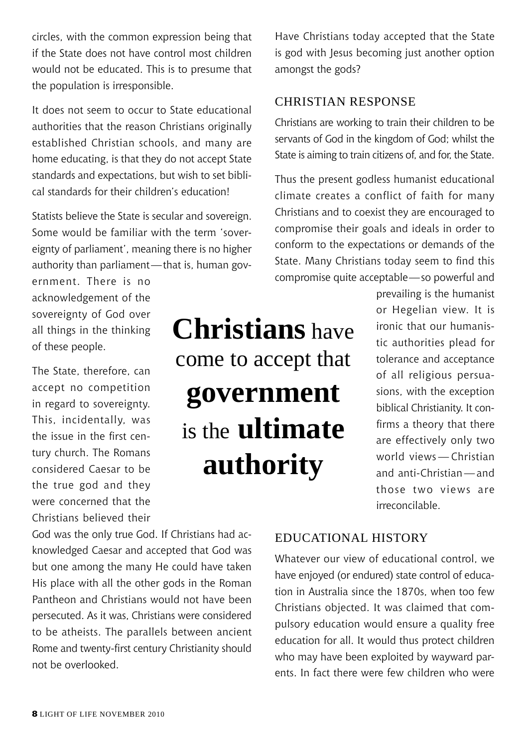circles, with the common expression being that if the State does not have control most children would not be educated. This is to presume that the population is irresponsible.

It does not seem to occur to State educational authorities that the reason Christians originally established Christian schools, and many are home educating, is that they do not accept State standards and expectations, but wish to set biblical standards for their children's education!

Statists believe the State is secular and sovereign. Some would be familiar with the term 'sovereignty of parliament', meaning there is no higher authority than parliament—that is, human gov-

ernment. There is no acknowledgement of the sovereignty of God over all things in the thinking of these people.

The State, therefore, can accept no competition in regard to sovereignty. This, incidentally, was the issue in the first century church. The Romans considered Caesar to be the true god and they were concerned that the Christians believed their **Christians** have come to accept that **government**  is the **ultimate authority**

Have Christians today accepted that the State is god with Jesus becoming just another option amongst the gods?

#### Christian Response

Christians are working to train their children to be servants of God in the kingdom of God; whilst the State is aiming to train citizens of, and for, the State.

Thus the present godless humanist educational climate creates a conflict of faith for many Christians and to coexist they are encouraged to compromise their goals and ideals in order to conform to the expectations or demands of the State. Many Christians today seem to find this compromise quite acceptable—so powerful and

> prevailing is the humanist or Hegelian view. It is ironic that our humanistic authorities plead for tolerance and acceptance of all religious persuasions, with the exception biblical Christianity. It confirms a theory that there are effectively only two world views — Christian and anti-Christian — and those two views are irreconcilable.

God was the only true God. If Christians had acknowledged Caesar and accepted that God was but one among the many He could have taken His place with all the other gods in the Roman Pantheon and Christians would not have been persecuted. As it was, Christians were considered to be atheists. The parallels between ancient Rome and twenty-first century Christianity should not be overlooked.

Educational history

Whatever our view of educational control, we have enjoyed (or endured) state control of education in Australia since the 1870s, when too few Christians objected. It was claimed that compulsory education would ensure a quality free education for all. It would thus protect children who may have been exploited by wayward parents. In fact there were few children who were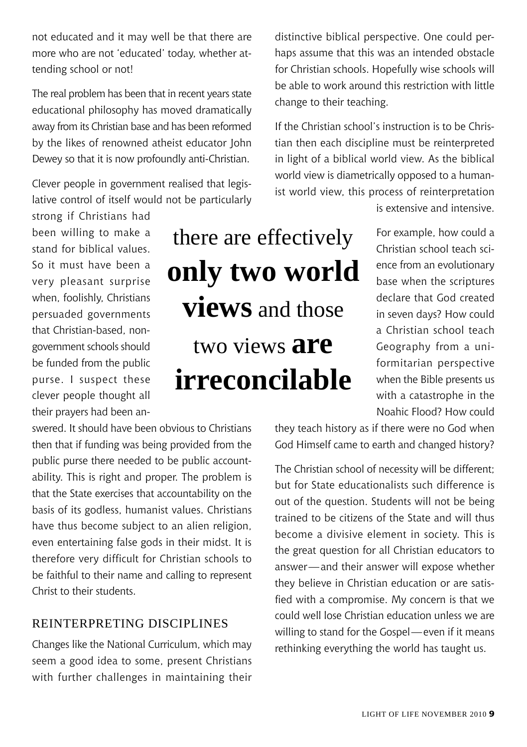not educated and it may well be that there are more who are not 'educated' today, whether attending school or not!

The real problem has been that in recent years state educational philosophy has moved dramatically away from its Christian base and has been reformed by the likes of renowned atheist educator John Dewey so that it is now profoundly anti-Christian.

Clever people in government realised that legislative control of itself would not be particularly

strong if Christians had been willing to make a stand for biblical values. So it must have been a very pleasant surprise when, foolishly, Christians persuaded governments that Christian-based, nongovernment schools should be funded from the public purse. I suspect these clever people thought all their prayers had been an-

there are effectively **only two world views** and those two views **are irreconcilable**

distinctive biblical perspective. One could perhaps assume that this was an intended obstacle for Christian schools. Hopefully wise schools will be able to work around this restriction with little change to their teaching.

If the Christian school's instruction is to be Christian then each discipline must be reinterpreted in light of a biblical world view. As the biblical world view is diametrically opposed to a humanist world view, this process of reinterpretation

is extensive and intensive.

For example, how could a Christian school teach science from an evolutionary base when the scriptures declare that God created in seven days? How could a Christian school teach Geography from a uniformitarian perspective when the Bible presents us with a catastrophe in the Noahic Flood? How could

swered. It should have been obvious to Christians then that if funding was being provided from the public purse there needed to be public accountability. This is right and proper. The problem is that the State exercises that accountability on the basis of its godless, humanist values. Christians have thus become subject to an alien religion, even entertaining false gods in their midst. It is therefore very difficult for Christian schools to be faithful to their name and calling to represent Christ to their students.

#### Reinterpreting Disciplines

Changes like the National Curriculum, which may seem a good idea to some, present Christians with further challenges in maintaining their

they teach history as if there were no God when God Himself came to earth and changed history?

The Christian school of necessity will be different; but for State educationalists such difference is out of the question. Students will not be being trained to be citizens of the State and will thus become a divisive element in society. This is the great question for all Christian educators to answer—and their answer will expose whether they believe in Christian education or are satisfied with a compromise. My concern is that we could well lose Christian education unless we are willing to stand for the Gospel—even if it means rethinking everything the world has taught us.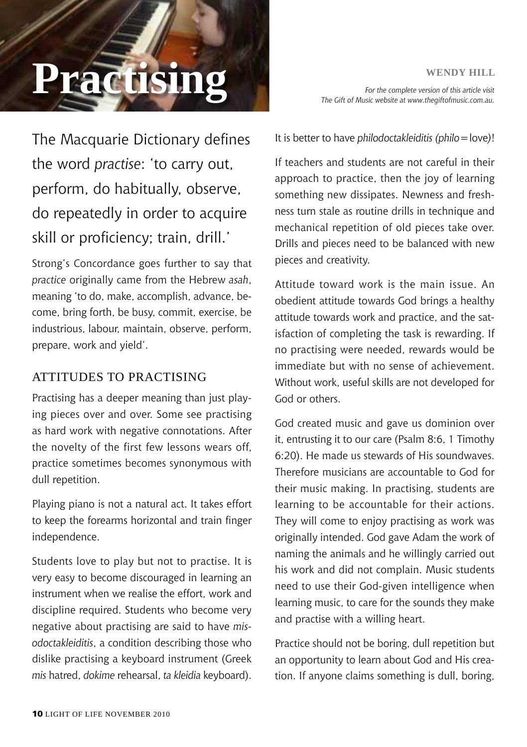# **PRACTISING Expansion** *For the complete version of this article visit*

*For the complete version of this article visit The Gift of Music website at www.thegiftofmusic.com.au.*

The Macquarie Dictionary defines the word *practise*: 'to carry out, perform, do habitually, observe, do repeatedly in order to acquire skill or proficiency; train, drill.'

Strong's Concordance goes further to say that *practice* originally came from the Hebrew *asah*, meaning 'to do, make, accomplish, advance, become, bring forth, be busy, commit, exercise, be industrious, labour, maintain, observe, perform, prepare, work and yield'.

#### ATTITUDES TO PRACTISING

Practising has a deeper meaning than just playing pieces over and over. Some see practising as hard work with negative connotations. After the novelty of the first few lessons wears off, practice sometimes becomes synonymous with dull repetition.

Playing piano is not a natural act. It takes effort to keep the forearms horizontal and train finger independence.

Students love to play but not to practise. It is very easy to become discouraged in learning an instrument when we realise the effort, work and discipline required. Students who become very negative about practising are said to have *misodoctakleiditis*, a condition describing those who dislike practising a keyboard instrument (Greek *mis* hatred, *dokime* rehearsal, *ta kleidia* keyboard).

It is better to have *philodoctakleiditis (philo*=love*)*!

If teachers and students are not careful in their approach to practice, then the joy of learning something new dissipates. Newness and freshness turn stale as routine drills in technique and mechanical repetition of old pieces take over. Drills and pieces need to be balanced with new pieces and creativity.

Attitude toward work is the main issue. An obedient attitude towards God brings a healthy attitude towards work and practice, and the satisfaction of completing the task is rewarding. If no practising were needed, rewards would be immediate but with no sense of achievement. Without work, useful skills are not developed for God or others.

God created music and gave us dominion over it, entrusting it to our care (Psalm 8:6, 1 Timothy 6:20). He made us stewards of His soundwaves. Therefore musicians are accountable to God for their music making. In practising, students are learning to be accountable for their actions. They will come to enjoy practising as work was originally intended. God gave Adam the work of naming the animals and he willingly carried out his work and did not complain. Music students need to use their God-given intelligence when learning music, to care for the sounds they make and practise with a willing heart.

Practice should not be boring, dull repetition but an opportunity to learn about God and His creation. If anyone claims something is dull, boring,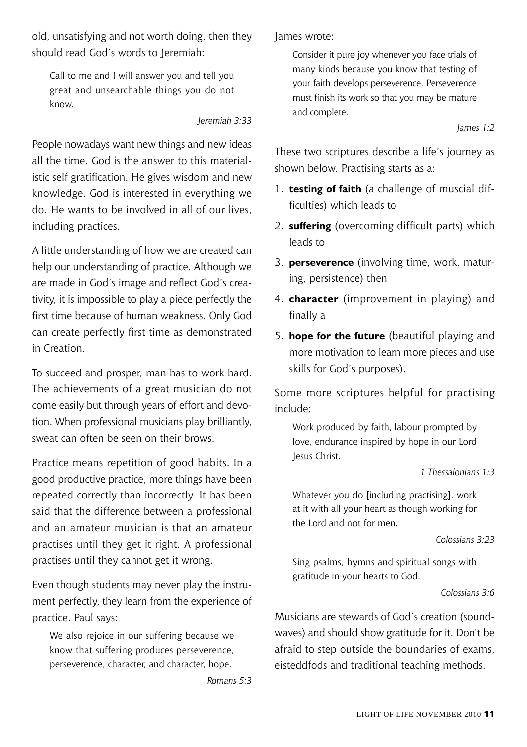old, unsatisfying and not worth doing, then they should read God's words to Jeremiah:

Call to me and I will answer you and tell you great and unsearchable things you do not know.

*Jeremiah 3:33*

People nowadays want new things and new ideas all the time. God is the answer to this materialistic self gratification. He gives wisdom and new knowledge. God is interested in everything we do. He wants to be involved in all of our lives, including practices.

A little understanding of how we are created can help our understanding of practice. Although we are made in God's image and reflect God's creativity, it is impossible to play a piece perfectly the first time because of human weakness. Only God can create perfectly first time as demonstrated in Creation.

To succeed and prosper, man has to work hard. The achievements of a great musician do not come easily but through years of effort and devotion. When professional musicians play brilliantly, sweat can often be seen on their brows.

Practice means repetition of good habits. In a good productive practice, more things have been repeated correctly than incorrectly. It has been said that the difference between a professional and an amateur musician is that an amateur practises until they get it right. A professional practises until they cannot get it wrong.

Even though students may never play the instrument perfectly, they learn from the experience of practice. Paul says:

We also rejoice in our suffering because we know that suffering produces perseverence, perseverence, character, and character, hope.

*Romans 5:3*

James wrote:

Consider it pure joy whenever you face trials of many kinds because you know that testing of your faith develops perseverence. Perseverence must finish its work so that you may be mature and complete.

*James 1:2*

These two scriptures describe a life's journey as shown below. Practising starts as a:

- 1. **testing of faith** (a challenge of muscial difficulties) which leads to
- 2. **suffering** (overcoming difficult parts) which leads to
- 3. **perseverence** (involving time, work, maturing, persistence) then
- 4. **character** (improvement in playing) and finally a
- 5. **hope for the future** (beautiful playing and more motivation to learn more pieces and use skills for God's purposes).

Some more scriptures helpful for practising include:

Work produced by faith, labour prompted by love, endurance inspired by hope in our Lord Jesus Christ.

*1 Thessalonians 1:3*

Whatever you do [including practising], work at it with all your heart as though working for the Lord and not for men.

#### *Colossians 3:23*

Sing psalms, hymns and spiritual songs with gratitude in your hearts to God.

*Colossians 3:6*

Musicians are stewards of God's creation (soundwaves) and should show gratitude for it. Don't be afraid to step outside the boundaries of exams, eisteddfods and traditional teaching methods.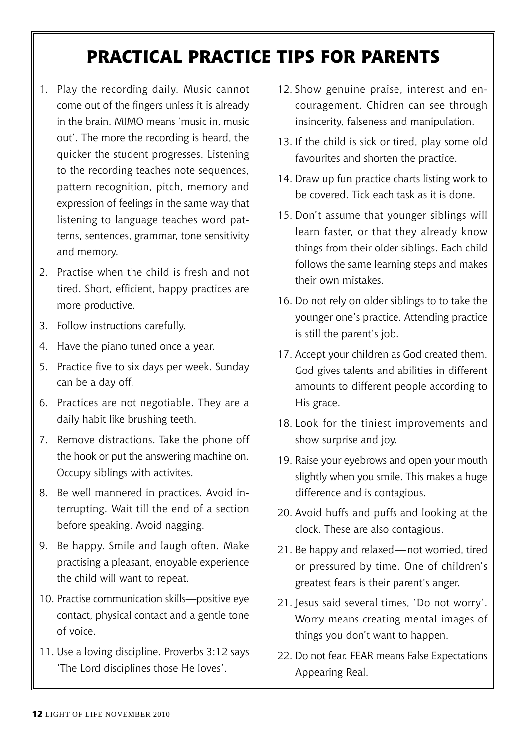## **PRACTICAL PRACTICE TIPS FOR PARENTS**

- 1. Play the recording daily. Music cannot come out of the fingers unless it is already in the brain. MIMO means 'music in, music out'. The more the recording is heard, the quicker the student progresses. Listening to the recording teaches note sequences, pattern recognition, pitch, memory and expression of feelings in the same way that listening to language teaches word patterns, sentences, grammar, tone sensitivity and memory.
- 2. Practise when the child is fresh and not tired. Short, efficient, happy practices are more productive.
- 3. Follow instructions carefully.
- 4. Have the piano tuned once a year.
- 5. Practice five to six days per week. Sunday can be a day off.
- 6. Practices are not negotiable. They are a daily habit like brushing teeth.
- 7. Remove distractions. Take the phone off the hook or put the answering machine on. Occupy siblings with activites.
- 8. Be well mannered in practices. Avoid interrupting. Wait till the end of a section before speaking. Avoid nagging.
- 9. Be happy. Smile and laugh often. Make practising a pleasant, enoyable experience the child will want to repeat.
- 10. Practise communication skills—positive eye contact, physical contact and a gentle tone of voice.
- 11. Use a loving discipline. Proverbs 3:12 says 'The Lord disciplines those He loves'.
- 12. Show genuine praise, interest and encouragement. Chidren can see through insincerity, falseness and manipulation.
- 13. If the child is sick or tired, play some old favourites and shorten the practice.
- 14. Draw up fun practice charts listing work to be covered. Tick each task as it is done.
- 15. Don't assume that younger siblings will learn faster, or that they already know things from their older siblings. Each child follows the same learning steps and makes their own mistakes.
- 16. Do not rely on older siblings to to take the younger one's practice. Attending practice is still the parent's job.
- 17. Accept your children as God created them. God gives talents and abilities in different amounts to different people according to His grace.
- 18. Look for the tiniest improvements and show surprise and joy.
- 19. Raise your eyebrows and open your mouth slightly when you smile. This makes a huge difference and is contagious.
- 20. Avoid huffs and puffs and looking at the clock. These are also contagious.
- 21. Be happy and relaxed—not worried, tired or pressured by time. One of children's greatest fears is their parent's anger.
- 21. Jesus said several times, 'Do not worry'. Worry means creating mental images of things you don't want to happen.
- 22. Do not fear. FEAR means False Expectations Appearing Real.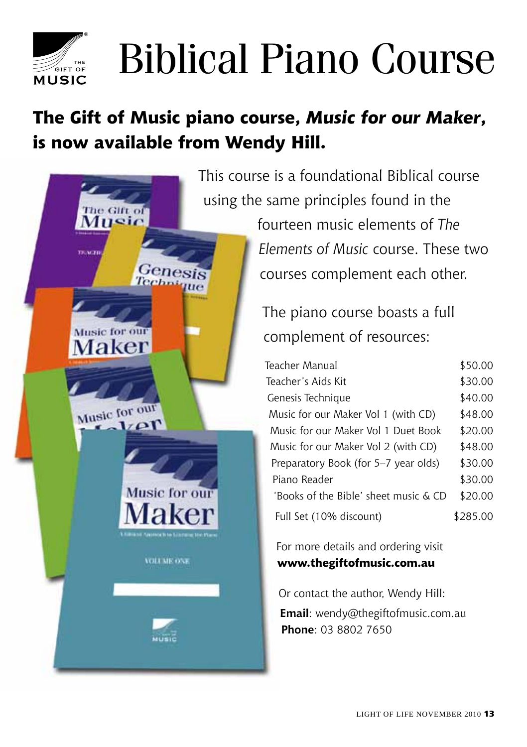

Music

Maker

Music for our

 $17$   $\alpha$  r

Music for our

**Ukonoch ta Literatur M** 

**VOLUME ONE** 

**MARINE** 

Genesis

n sa

# Biblical Piano Course

## **The Gift of Music piano course,** *Music for our Maker***, is now available from Wendy Hill.**

This course is a foundational Biblical course using the same principles found in the

> fourteen music elements of *The Elements of Music* course. These two courses complement each other.

The piano course boasts a full complement of resources:

| Teacher Manual                        | \$50.00  |
|---------------------------------------|----------|
| Teacher's Aids Kit                    | \$30.00  |
| Genesis Technique                     | \$40.00  |
| Music for our Maker Vol 1 (with CD)   | \$48.00  |
| Music for our Maker Vol 1 Duet Book   | \$20.00  |
| Music for our Maker Vol 2 (with CD)   | \$48.00  |
| Preparatory Book (for 5–7 year olds)  | \$30.00  |
| Piano Reader                          | \$30.00  |
| 'Books of the Bible' sheet music & CD | \$20.00  |
| Full Set (10% discount)               | \$285.00 |

For more details and ordering visit **www.thegiftofmusic.com.au**

Or contact the author, Wendy Hill: **Email**: wendy@thegiftofmusic.com.au **Phone**: 03 8802 7650

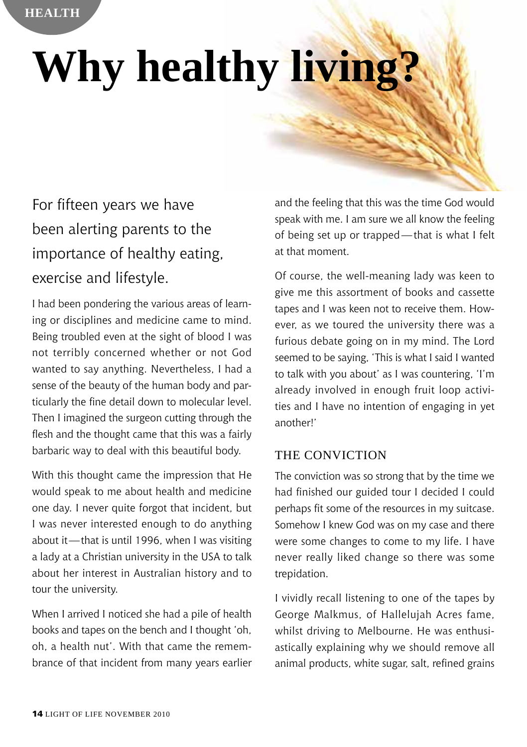# **Why healthy living**

## For fifteen years we have been alerting parents to the importance of healthy eating, exercise and lifestyle.

I had been pondering the various areas of learning or disciplines and medicine came to mind. Being troubled even at the sight of blood I was not terribly concerned whether or not God wanted to say anything. Nevertheless, I had a sense of the beauty of the human body and particularly the fine detail down to molecular level. Then I imagined the surgeon cutting through the flesh and the thought came that this was a fairly barbaric way to deal with this beautiful body.

With this thought came the impression that He would speak to me about health and medicine one day. I never quite forgot that incident, but I was never interested enough to do anything about it—that is until 1996, when I was visiting a lady at a Christian university in the USA to talk about her interest in Australian history and to tour the university.

When I arrived I noticed she had a pile of health books and tapes on the bench and I thought 'oh, oh, a health nut'. With that came the remembrance of that incident from many years earlier

and the feeling that this was the time God would speak with me. I am sure we all know the feeling of being set up or trapped—that is what I felt at that moment.

Of course, the well-meaning lady was keen to give me this assortment of books and cassette tapes and I was keen not to receive them. However, as we toured the university there was a furious debate going on in my mind. The Lord seemed to be saying, 'This is what I said I wanted to talk with you about' as I was countering, 'I'm already involved in enough fruit loop activities and I have no intention of engaging in yet another!'

#### THE CONVICTION

The conviction was so strong that by the time we had finished our guided tour I decided I could perhaps fit some of the resources in my suitcase. Somehow I knew God was on my case and there were some changes to come to my life. I have never really liked change so there was some trepidation.

I vividly recall listening to one of the tapes by George Malkmus, of Hallelujah Acres fame, whilst driving to Melbourne. He was enthusiastically explaining why we should remove all animal products, white sugar, salt, refined grains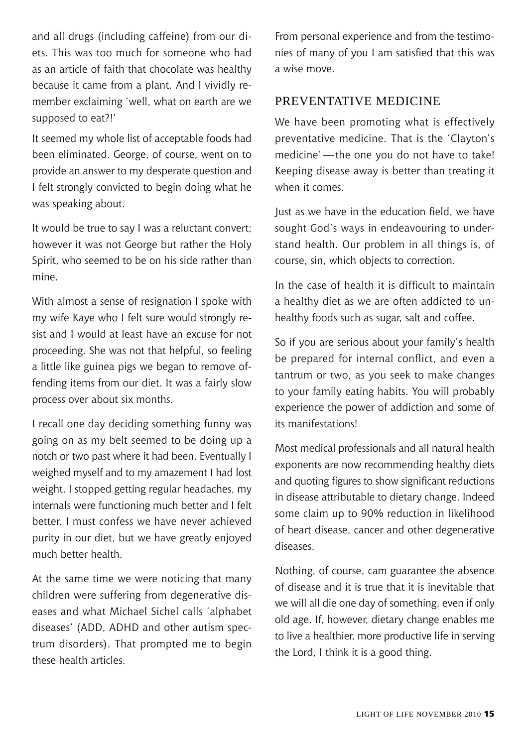and all drugs (including caffeine) from our diets. This was too much for someone who had as an article of faith that chocolate was healthy because it came from a plant. And I vividly remember exclaiming 'well, what on earth are we supposed to eat?!'

It seemed my whole list of acceptable foods had been eliminated. George, of course, went on to provide an answer to my desperate question and I felt strongly convicted to begin doing what he was speaking about.

It would be true to say I was a reluctant convert; however it was not George but rather the Holy Spirit, who seemed to be on his side rather than mine.

With almost a sense of resignation I spoke with my wife Kaye who I felt sure would strongly resist and I would at least have an excuse for not proceeding. She was not that helpful, so feeling a little like guinea pigs we began to remove offending items from our diet. It was a fairly slow process over about six months.

I recall one day deciding something funny was going on as my belt seemed to be doing up a notch or two past where it had been. Eventually I weighed myself and to my amazement I had lost weight. I stopped getting regular headaches, my internals were functioning much better and I felt better. I must confess we have never achieved purity in our diet, but we have greatly enjoyed much better health.

At the same time we were noticing that many children were suffering from degenerative diseases and what Michael Sichel calls 'alphabet diseases' (ADD, ADHD and other autism spectrum disorders). That prompted me to begin these health articles.

From personal experience and from the testimonies of many of you I am satisfied that this was a wise move.

#### Preventative medicine

We have been promoting what is effectively preventative medicine. That is the 'Clayton's medicine'—the one you do not have to take! Keeping disease away is better than treating it when it comes.

Just as we have in the education field, we have sought God's ways in endeavouring to understand health. Our problem in all things is, of course, sin, which objects to correction.

In the case of health it is difficult to maintain a healthy diet as we are often addicted to unhealthy foods such as sugar, salt and coffee.

So if you are serious about your family's health be prepared for internal conflict, and even a tantrum or two, as you seek to make changes to your family eating habits. You will probably experience the power of addiction and some of its manifestations!

Most medical professionals and all natural health exponents are now recommending healthy diets and quoting figures to show significant reductions in disease attributable to dietary change. Indeed some claim up to 90% reduction in likelihood of heart disease, cancer and other degenerative diseases.

Nothing, of course, cam guarantee the absence of disease and it is true that it is inevitable that we will all die one day of something, even if only old age. If, however, dietary change enables me to live a healthier, more productive life in serving the Lord, I think it is a good thing.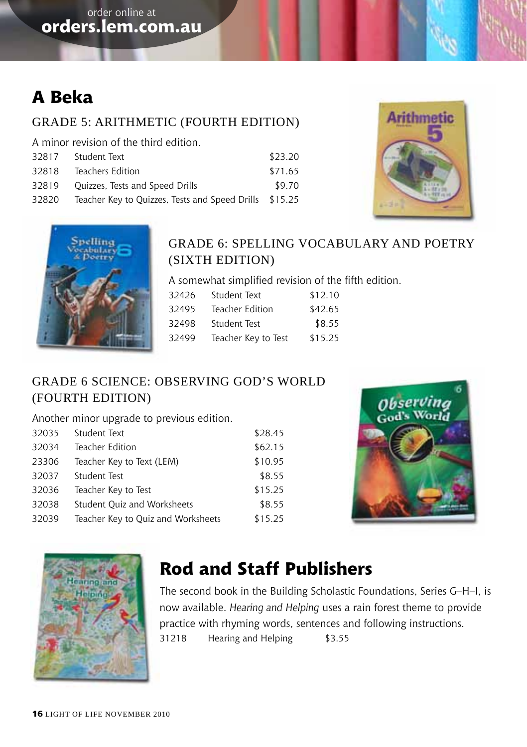## **A Beka**

#### Grade 5: Arithmetic (Fourth Edition)

A minor revision of the third edition.

| 32817 | Student Text                                           | \$23.20 |  |
|-------|--------------------------------------------------------|---------|--|
| 32818 | Teachers Edition                                       | \$71.65 |  |
| 32819 | Quizzes, Tests and Speed Drills                        | \$9.70  |  |
| 32820 | Teacher Key to Quizzes, Tests and Speed Drills \$15.25 |         |  |





#### Grade 6: Spelling Vocabulary and Poetry (Sixth Edition)

A somewhat simplified revision of the fifth edition.

| Student Text        | \$12.10 |
|---------------------|---------|
| Teacher Edition     | \$42.65 |
| Student Test        | \$8.55  |
| Teacher Key to Test | \$15.25 |
|                     |         |

#### Grade 6 Science: Observing God's World (Fourth Edition)

Another minor upgrade to previous edition.

| 32035 | Student Text                       | \$28.45 |
|-------|------------------------------------|---------|
| 32034 | Teacher Edition                    | \$62.15 |
| 23306 | Teacher Key to Text (LEM)          | \$10.95 |
| 32037 | Student Test                       | \$8.55  |
| 32036 | Teacher Key to Test                | \$15.25 |
| 32038 | Student Ouiz and Worksheets        | \$8.55  |
| 32039 | Teacher Key to Quiz and Worksheets | \$15.25 |





## **Rod and Staff Publishers**

The second book in the Building Scholastic Foundations, Series G–H–I, is now available. *Hearing and Helping* uses a rain forest theme to provide practice with rhyming words, sentences and following instructions. 31218 Hearing and Helping \$3.55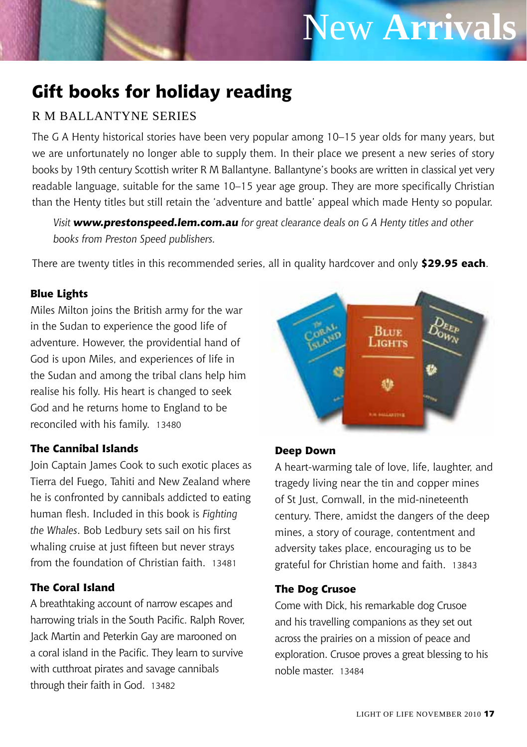## New **Arrivals**

## **Gift books for holiday reading**

#### R M Ballantyne series

The G A Henty historical stories have been very popular among 10–15 year olds for many years, but we are unfortunately no longer able to supply them. In their place we present a new series of story books by 19th century Scottish writer R M Ballantyne. Ballantyne's books are written in classical yet very readable language, suitable for the same 10–15 year age group. They are more specifically Christian than the Henty titles but still retain the 'adventure and battle' appeal which made Henty so popular.

*Visit www.prestonspeed.lem.com.au for great clearance deals on G A Henty titles and other books from Preston Speed publishers.*

There are twenty titles in this recommended series, all in quality hardcover and only **\$29.95 each**.

#### **Blue Lights**

Miles Milton joins the British army for the war in the Sudan to experience the good life of adventure. However, the providential hand of God is upon Miles, and experiences of life in the Sudan and among the tribal clans help him realise his folly. His heart is changed to seek God and he returns home to England to be reconciled with his family. 13480

#### **The Cannibal Islands**

Join Captain James Cook to such exotic places as Tierra del Fuego, Tahiti and New Zealand where he is confronted by cannibals addicted to eating human flesh. Included in this book is *Fighting the Whales*. Bob Ledbury sets sail on his first whaling cruise at just fifteen but never strays from the foundation of Christian faith. 13481

#### **The Coral Island**

A breathtaking account of narrow escapes and harrowing trials in the South Pacific. Ralph Rover, Jack Martin and Peterkin Gay are marooned on a coral island in the Pacific. They learn to survive with cutthroat pirates and savage cannibals through their faith in God. 13482



#### **Deep Down**

A heart-warming tale of love, life, laughter, and tragedy living near the tin and copper mines of St Just, Cornwall, in the mid-nineteenth century. There, amidst the dangers of the deep mines, a story of courage, contentment and adversity takes place, encouraging us to be grateful for Christian home and faith. 13843

#### **The Dog Crusoe**

Come with Dick, his remarkable dog Crusoe and his travelling companions as they set out across the prairies on a mission of peace and exploration. Crusoe proves a great blessing to his noble master. 13484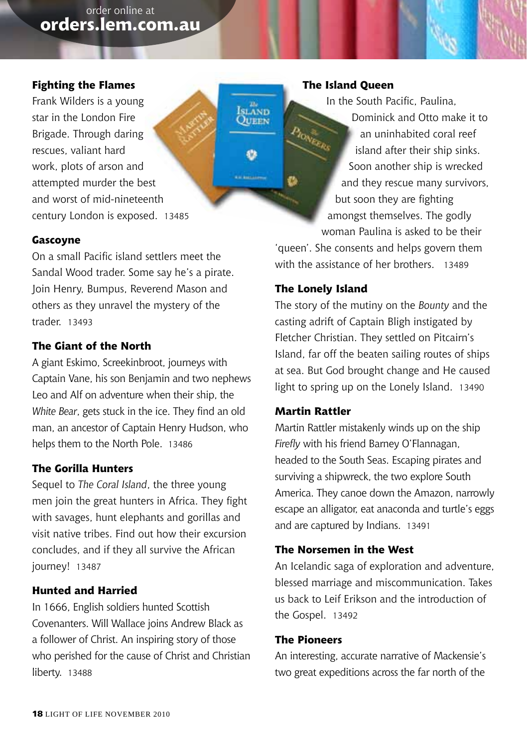#### **Fighting the Flames**

Frank Wilders is a young star in the London Fire Brigade. Through daring rescues, valiant hard work, plots of arson and attempted murder the best and worst of mid-nineteenth century London is exposed. 13485

#### **Gascoyne**

On a small Pacific island settlers meet the Sandal Wood trader. Some say he's a pirate. Join Henry, Bumpus, Reverend Mason and others as they unravel the mystery of the trader. 13493

#### **The Giant of the North**

A giant Eskimo, Screekinbroot, journeys with Captain Vane, his son Benjamin and two nephews Leo and Alf on adventure when their ship, the *White Bear*, gets stuck in the ice. They find an old man, an ancestor of Captain Henry Hudson, who helps them to the North Pole. 13486

#### **The Gorilla Hunters**

Sequel to *The Coral Island*, the three young men join the great hunters in Africa. They fight with savages, hunt elephants and gorillas and visit native tribes. Find out how their excursion concludes, and if they all survive the African journey! 13487

#### **Hunted and Harried**

In 1666, English soldiers hunted Scottish Covenanters. Will Wallace joins Andrew Black as a follower of Christ. An inspiring story of those who perished for the cause of Christ and Christian liberty. 13488

#### **The Island Queen**

Islând<br>Oueen

O

In the South Pacific, Paulina, Dominick and Otto make it to Provinces an uninhabited coral reef island after their ship sinks. Soon another ship is wrecked and they rescue many survivors, but soon they are fighting amongst themselves. The godly woman Paulina is asked to be their 'queen'. She consents and helps govern them

with the assistance of her brothers. 13489

#### **The Lonely Island**

The story of the mutiny on the *Bounty* and the casting adrift of Captain Bligh instigated by Fletcher Christian. They settled on Pitcairn's Island, far off the beaten sailing routes of ships at sea. But God brought change and He caused light to spring up on the Lonely Island. 13490

#### **Martin Rattler**

Martin Rattler mistakenly winds up on the ship *Firefly* with his friend Barney O'Flannagan, headed to the South Seas. Escaping pirates and surviving a shipwreck, the two explore South America. They canoe down the Amazon, narrowly escape an alligator, eat anaconda and turtle's eggs and are captured by Indians. 13491

#### **The Norsemen in the West**

An Icelandic saga of exploration and adventure, blessed marriage and miscommunication. Takes us back to Leif Erikson and the introduction of the Gospel. 13492

#### **The Pioneers**

An interesting, accurate narrative of Mackensie's two great expeditions across the far north of the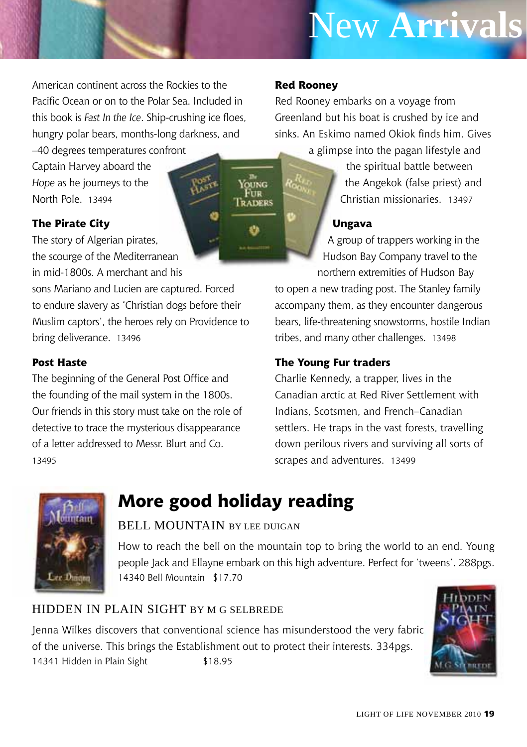## New **Arrivals**

American continent across the Rockies to the Pacific Ocean or on to the Polar Sea. Included in this book is *Fast In the Ice*. Ship-crushing ice floes, hungry polar bears, months-long darkness, and

–40 degrees temperatures confront Captain Harvey aboard the *Hope* as he journeys to the North Pole. 13494

#### **The Pirate City**

The story of Algerian pirates, the scourge of the Mediterranean

in mid-1800s. A merchant and his sons Mariano and Lucien are captured. Forced to endure slavery as 'Christian dogs before their Muslim captors', the heroes rely on Providence to bring deliverance. 13496

#### **Post Haste**

The beginning of the General Post Office and the founding of the mail system in the 1800s. Our friends in this story must take on the role of detective to trace the mysterious disappearance of a letter addressed to Messr. Blurt and Co. 13495

#### **Red Rooney**

Young<br>Fur **TRADERS** 

Red Rooney embarks on a voyage from Greenland but his boat is crushed by ice and sinks. An Eskimo named Okiok finds him. Gives

> a glimpse into the pagan lifestyle and the spiritual battle between the Angekok (false priest) and Christian missionaries. 13497

#### **Ungava**

A group of trappers working in the Hudson Bay Company travel to the northern extremities of Hudson Bay

to open a new trading post. The Stanley family accompany them, as they encounter dangerous bears, life-threatening snowstorms, hostile Indian tribes, and many other challenges. 13498

#### **The Young Fur traders**

Charlie Kennedy, a trapper, lives in the Canadian arctic at Red River Settlement with Indians, Scotsmen, and French–Canadian settlers. He traps in the vast forests, travelling down perilous rivers and surviving all sorts of scrapes and adventures. 13499



### **More good holiday reading**

#### BELL MOUNTAIN BY LEE DUIGAN

How to reach the bell on the mountain top to bring the world to an end. Young people Jack and Ellayne embark on this high adventure. Perfect for 'tweens'. 288pgs. 14340 Bell Mountain \$17.70

#### Hidden in Plain Sight by M G Selbrede

Jenna Wilkes discovers that conventional science has misunderstood the very fabric of the universe. This brings the Establishment out to protect their interests. 334pgs. 14341 Hidden in Plain Sight \$18.95

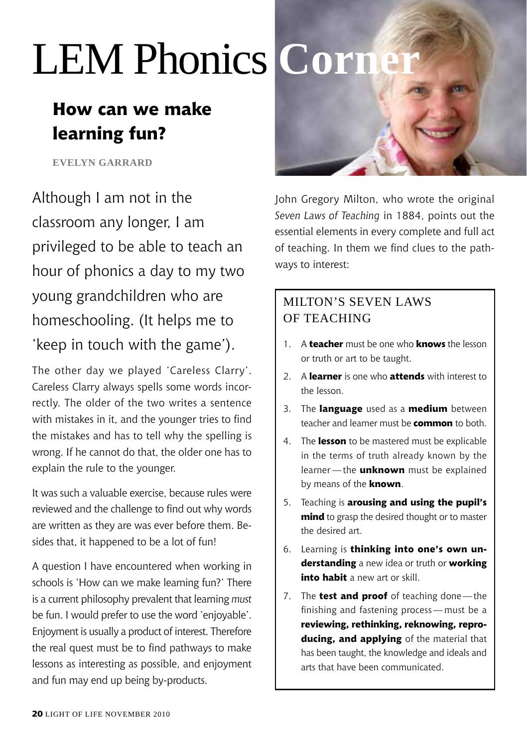## LEM Phonics **Corn**

## **How can we make learning fun?**

**Evelyn garrard**

Although I am not in the classroom any longer, I am privileged to be able to teach an hour of phonics a day to my two young grandchildren who are homeschooling. (It helps me to 'keep in touch with the game').

The other day we played 'Careless Clarry'. Careless Clarry always spells some words incorrectly. The older of the two writes a sentence with mistakes in it, and the younger tries to find the mistakes and has to tell why the spelling is wrong. If he cannot do that, the older one has to explain the rule to the younger.

It was such a valuable exercise, because rules were reviewed and the challenge to find out why words are written as they are was ever before them. Besides that, it happened to be a lot of fun!

A question I have encountered when working in schools is 'How can we make learning fun?' There is a current philosophy prevalent that learning *must* be fun. I would prefer to use the word 'enjoyable'. Enjoyment is usually a product of interest. Therefore the real quest must be to find pathways to make lessons as interesting as possible, and enjoyment and fun may end up being by-products.



John Gregory Milton, who wrote the original *Seven Laws of Teaching* in 1884, points out the essential elements in every complete and full act of teaching. In them we find clues to the pathways to interest:

#### Milton's Seven Laws OF TEACHING

- 1. A **teacher** must be one who **knows** the lesson or truth or art to be taught.
- 2. A **learner** is one who **attends** with interest to the lesson.
- 3. The **language** used as a **medium** between teacher and learner must be **common** to both.
- 4. The **lesson** to be mastered must be explicable in the terms of truth already known by the learner — the **unknown** must be explained by means of the **known**.
- 5. Teaching is **arousing and using the pupil's mind** to grasp the desired thought or to master the desired art.
- 6. Learning is **thinking into one's own understanding** a new idea or truth or **working into habit** a new art or skill.
- 7. The **test and proof** of teaching done—the finishing and fastening process — must be a **reviewing, rethinking, reknowing, reproducing, and applying** of the material that has been taught, the knowledge and ideals and arts that have been communicated.